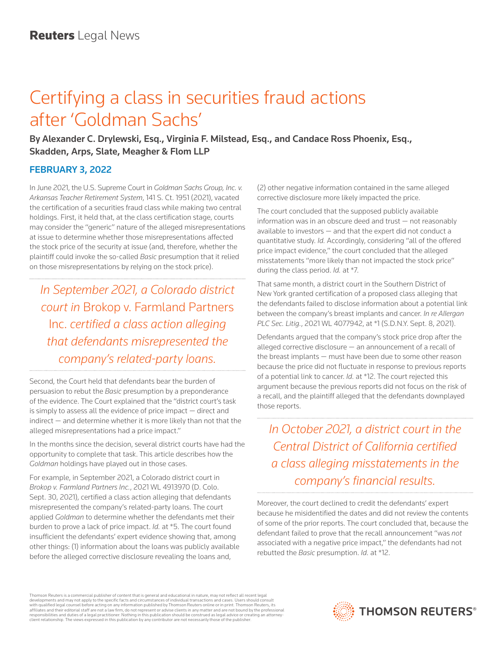## Certifying a class in securities fraud actions after 'Goldman Sachs'

By Alexander C. Drylewski, Esq., Virginia F. Milstead, Esq., and Candace Ross Phoenix, Esq., Skadden, Arps, Slate, Meagher & Flom LLP

## FEBRUARY 3, 2022

In June 2021, the U.S. Supreme Court in *Goldman Sachs Group, Inc. v. Arkansas Teacher Retirement System*, 141 S. Ct. 1951 (2021), vacated the certification of a securities fraud class while making two central holdings. First, it held that, at the class certification stage, courts may consider the "generic" nature of the alleged misrepresentations at issue to determine whether those misrepresentations affected the stock price of the security at issue (and, therefore, whether the plaintiff could invoke the so-called *Basic* presumption that it relied on those misrepresentations by relying on the stock price).

*In September 2021, a Colorado district court in* Brokop v. Farmland Partners Inc. *certified a class action alleging that defendants misrepresented the company's related-party loans.*

Second, the Court held that defendants bear the burden of persuasion to rebut the *Basic* presumption by a preponderance of the evidence. The Court explained that the "district court's task is simply to assess all the evidence of price impact — direct and indirect — and determine whether it is more likely than not that the alleged misrepresentations had a price impact."

In the months since the decision, several district courts have had the opportunity to complete that task. This article describes how the *Goldman* holdings have played out in those cases.

For example, in September 2021, a Colorado district court in *Brokop v. Farmland Partners Inc.*, 2021 WL 4913970 (D. Colo. Sept. 30, 2021), certified a class action alleging that defendants misrepresented the company's related-party loans. The court applied *Goldman* to determine whether the defendants met their burden to prove a lack of price impact. *Id.* at \*5. The court found insufficient the defendants' expert evidence showing that, among other things: (1) information about the loans was publicly available before the alleged corrective disclosure revealing the loans and,

(2) other negative information contained in the same alleged corrective disclosure more likely impacted the price.

The court concluded that the supposed publicly available information was in an obscure deed and trust — not reasonably available to investors — and that the expert did not conduct a quantitative study. *Id.* Accordingly, considering "all of the offered price impact evidence," the court concluded that the alleged misstatements "more likely than not impacted the stock price" during the class period. *Id.* at \*7.

That same month, a district court in the Southern District of New York granted certification of a proposed class alleging that the defendants failed to disclose information about a potential link between the company's breast implants and cancer. *In re Allergan PLC Sec. Litig.*, 2021 WL 4077942, at \*1 (S.D.N.Y. Sept. 8, 2021).

Defendants argued that the company's stock price drop after the alleged corrective disclosure — an announcement of a recall of the breast implants — must have been due to some other reason because the price did not fluctuate in response to previous reports of a potential link to cancer. *Id.* at \*12. The court rejected this argument because the previous reports did not focus on the risk of a recall, and the plaintiff alleged that the defendants downplayed those reports.

*In October 2021, a district court in the Central District of California certified a class alleging misstatements in the company's financial results.*

Moreover, the court declined to credit the defendants' expert because he misidentified the dates and did not review the contents of some of the prior reports. The court concluded that, because the defendant failed to prove that the recall announcement "was *not* associated with a negative price impact," the defendants had not rebutted the *Basic* presumption. *Id.* at \*12.

Thomson Reuters is a commercial publisher of content that is general and educational in nature, may not reflect all recent legal developments and may not apply to the specific facts and circumstances of individual transactions and cases. Users should consult<br>with qualified legal counsel before acting on any information published by Thomson Reuters o responsibilities and duties of a legal practitioner. Nothing in this publication should be construed as legal advice or creating an attorneyclient relationship. The views expressed in this publication by any contributor are not necessarily those of the publisher.